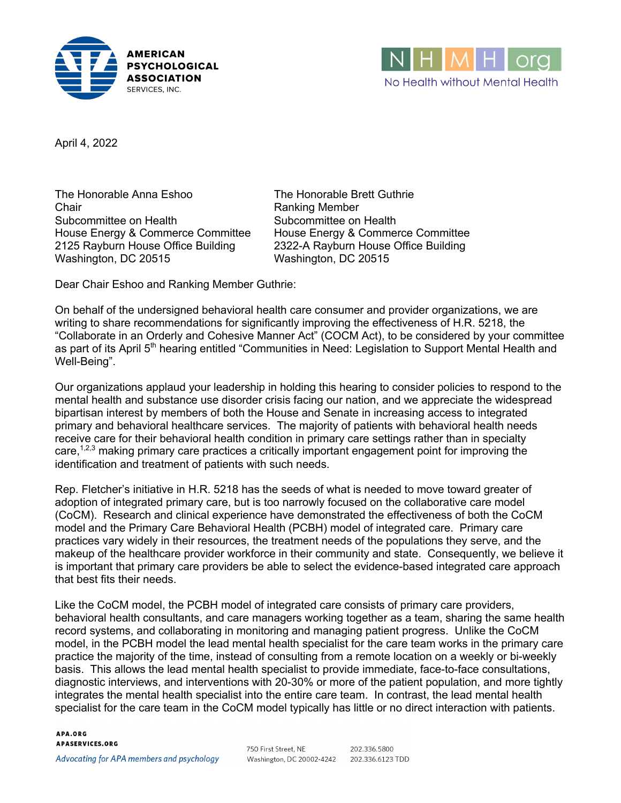



April 4, 2022

The Honorable Anna Eshoo The Honorable Brett Guthrie Chair **Chair** Ranking Member Subcommittee on Health Subcommittee on Health House Energy & Commerce Committee House Energy & Commerce Committee 2125 Rayburn House Office Building 2322-A Rayburn House Office Building Washington, DC 20515 Washington, DC 20515

Dear Chair Eshoo and Ranking Member Guthrie:

On behalf of the undersigned behavioral health care consumer and provider organizations, we are writing to share recommendations for significantly improving the effectiveness of H.R. 5218, the "Collaborate in an Orderly and Cohesive Manner Act" (COCM Act), to be considered by your committee as part of its April 5<sup>th</sup> hearing entitled "Communities in Need: Legislation to Support Mental Health and Well-Being".

Our organizations applaud your leadership in holding this hearing to consider policies to respond to the mental health and substance use disorder crisis facing our nation, and we appreciate the widespread bipartisan interest by members of both the House and Senate in increasing access to integrated primary and behavioral healthcare services. The majority of patients with behavioral health needs receive care for their behavioral health condition in primary care settings rather than in specialty care,<sup>1,2,3</sup> making primary care practices a critically important engagement point for improving the identification and treatment of patients with such needs.

Rep. Fletcher's initiative in H.R. 5218 has the seeds of what is needed to move toward greater of adoption of integrated primary care, but is too narrowly focused on the collaborative care model (CoCM). Research and clinical experience have demonstrated the effectiveness of both the CoCM model and the Primary Care Behavioral Health (PCBH) model of integrated care. Primary care practices vary widely in their resources, the treatment needs of the populations they serve, and the makeup of the healthcare provider workforce in their community and state. Consequently, we believe it is important that primary care providers be able to select the evidence-based integrated care approach that best fits their needs.

Like the CoCM model, the PCBH model of integrated care consists of primary care providers, behavioral health consultants, and care managers working together as a team, sharing the same health record systems, and collaborating in monitoring and managing patient progress. Unlike the CoCM model, in the PCBH model the lead mental health specialist for the care team works in the primary care practice the majority of the time, instead of consulting from a remote location on a weekly or bi-weekly basis. This allows the lead mental health specialist to provide immediate, face-to-face consultations, diagnostic interviews, and interventions with 20-30% or more of the patient population, and more tightly integrates the mental health specialist into the entire care team. In contrast, the lead mental health specialist for the care team in the CoCM model typically has little or no direct interaction with patients.

## APA.ORG **APASERVICES.ORG**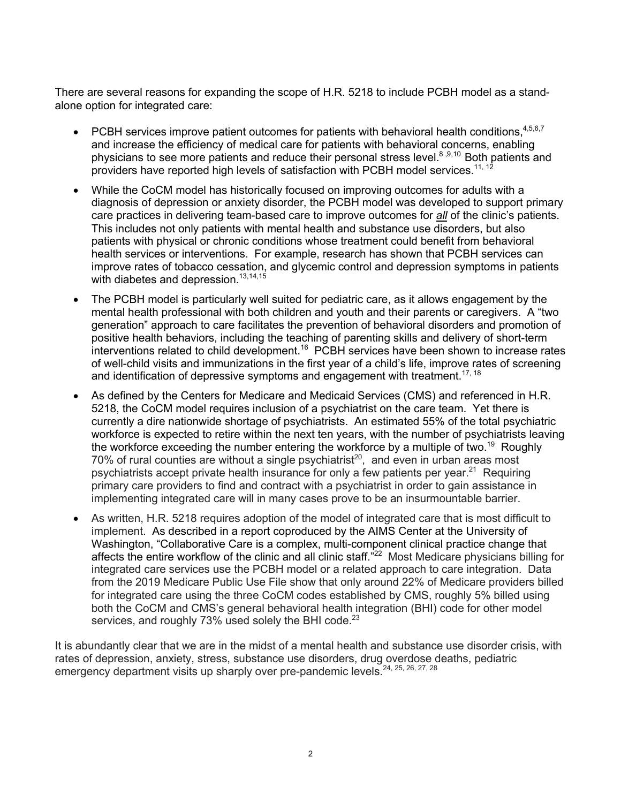There are several reasons for expanding the scope of H.R. 5218 to include PCBH model as a standalone option for integrated care:

- PCBH services improve patient outcomes for patients with behavioral health conditions,  $4,5,6,7$ and increase the efficiency of medical care for patients with behavioral concerns, enabling physicians to see more patients and reduce their personal stress level.<sup>8,9,10</sup> Both patients and providers have reported high levels of satisfaction with PCBH model services.<sup>11, 12</sup>
- While the CoCM model has historically focused on improving outcomes for adults with a diagnosis of depression or anxiety disorder, the PCBH model was developed to support primary care practices in delivering team-based care to improve outcomes for *all* of the clinic's patients. This includes not only patients with mental health and substance use disorders, but also patients with physical or chronic conditions whose treatment could benefit from behavioral health services or interventions. For example, research has shown that PCBH services can improve rates of tobacco cessation, and glycemic control and depression symptoms in patients with diabetes and depression.<sup>13,14,15</sup>
- The PCBH model is particularly well suited for pediatric care, as it allows engagement by the mental health professional with both children and youth and their parents or caregivers. A "two generation" approach to care facilitates the prevention of behavioral disorders and promotion of positive health behaviors, including the teaching of parenting skills and delivery of short-term interventions related to child development.<sup>16</sup> PCBH services have been shown to increase rates of well-child visits and immunizations in the first year of a child's life, improve rates of screening and identification of depressive symptoms and engagement with treatment.<sup>17, 18</sup>
- As defined by the Centers for Medicare and Medicaid Services (CMS) and referenced in H.R. 5218, the CoCM model requires inclusion of a psychiatrist on the care team. Yet there is currently a dire nationwide shortage of psychiatrists. An estimated 55% of the total psychiatric workforce is expected to retire within the next ten years, with the number of psychiatrists leaving the workforce exceeding the number entering the workforce by a multiple of two.<sup>19</sup> Roughly  $70\%$  of rural counties are without a single psychiatrist<sup>20</sup>, and even in urban areas most psychiatrists accept private health insurance for only a few patients per year.<sup>21</sup> Requiring primary care providers to find and contract with a psychiatrist in order to gain assistance in implementing integrated care will in many cases prove to be an insurmountable barrier.
- As written, H.R. 5218 requires adoption of the model of integrated care that is most difficult to implement. As described in a report coproduced by the AIMS Center at the University of Washington, "Collaborative Care is a complex, multi-component clinical practice change that affects the entire workflow of the clinic and all clinic staff.<sup>"22</sup> Most Medicare physicians billing for integrated care services use the PCBH model or a related approach to care integration. Data from the 2019 Medicare Public Use File show that only around 22% of Medicare providers billed for integrated care using the three CoCM codes established by CMS, roughly 5% billed using both the CoCM and CMS's general behavioral health integration (BHI) code for other model services, and roughly  $73\%$  used solely the BHI code.<sup>23</sup>

It is abundantly clear that we are in the midst of a mental health and substance use disorder crisis, with rates of depression, anxiety, stress, substance use disorders, drug overdose deaths, pediatric emergency department visits up sharply over pre-pandemic levels.<sup>24, 25, 26, 27, 28</sup>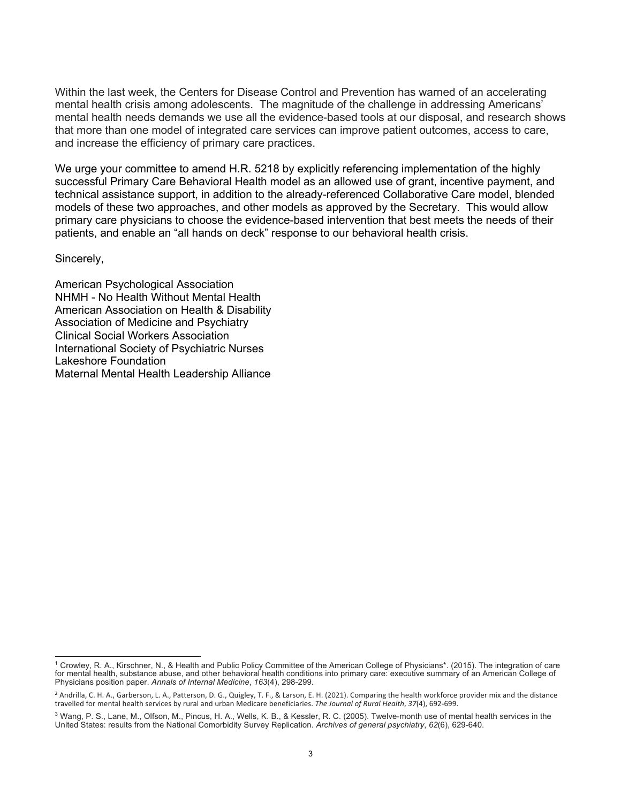Within the last week, the Centers for Disease Control and Prevention has warned of an accelerating mental health crisis among adolescents. The magnitude of the challenge in addressing Americans' mental health needs demands we use all the evidence-based tools at our disposal, and research shows that more than one model of integrated care services can improve patient outcomes, access to care, and increase the efficiency of primary care practices.

We urge your committee to amend H.R. 5218 by explicitly referencing implementation of the highly successful Primary Care Behavioral Health model as an allowed use of grant, incentive payment, and technical assistance support, in addition to the already-referenced Collaborative Care model, blended models of these two approaches, and other models as approved by the Secretary. This would allow primary care physicians to choose the evidence-based intervention that best meets the needs of their patients, and enable an "all hands on deck" response to our behavioral health crisis.

## Sincerely,

American Psychological Association NHMH - No Health Without Mental Health American Association on Health & Disability Association of Medicine and Psychiatry Clinical Social Workers Association International Society of Psychiatric Nurses Lakeshore Foundation Maternal Mental Health Leadership Alliance

<sup>1</sup> Crowley, R. A., Kirschner, N., & Health and Public Policy Committee of the American College of Physicians\*. (2015). The integration of care for mental health, substance abuse, and other behavioral health conditions into primary care: executive summary of an American College of Physicians position paper. *Annals of Internal Medicine*, *163*(4), 298-299.

<sup>&</sup>lt;sup>2</sup> Andrilla, C. H. A., Garberson, L. A., Patterson, D. G., Quigley, T. F., & Larson, E. H. (2021). Comparing the health workforce provider mix and the distance travelled for mental health services by rural and urban Medicare beneficiaries. *The Journal of Rural Health*, *37*(4), 692-699.

<sup>&</sup>lt;sup>3</sup> Wang, P. S., Lane, M., Olfson, M., Pincus, H. A., Wells, K. B., & Kessler, R. C. (2005). Twelve-month use of mental health services in the United States: results from the National Comorbidity Survey Replication. *Archives of general psychiatry*, *62*(6), 629-640.